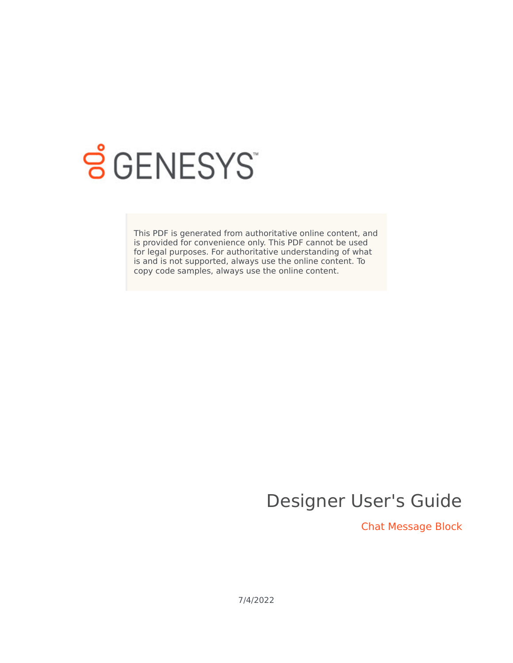

# **SGENESYS**

This PDF is generated from authoritative online content, and is provided for convenience only. This PDF cannot be used for legal purposes. For authoritative understanding of what is and is not supported, always use the online content. To copy code samples, always use the online content.

# Designer User's Guide

Chat Message Block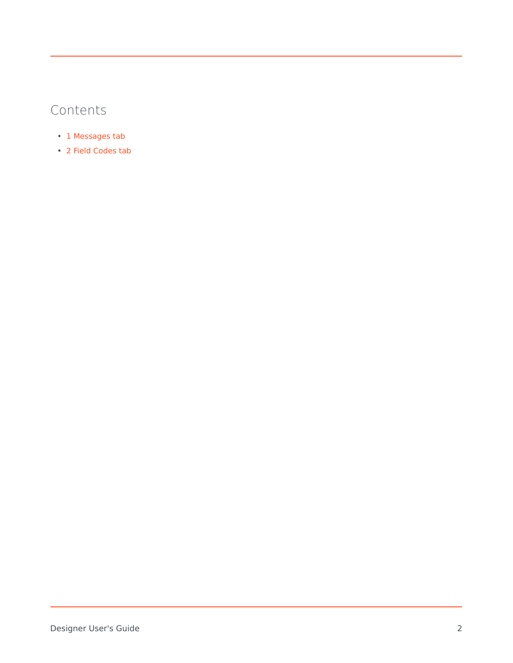# Contents

- 1 [Messages tab](#page-2-0)
- 2 [Field Codes tab](#page-3-0)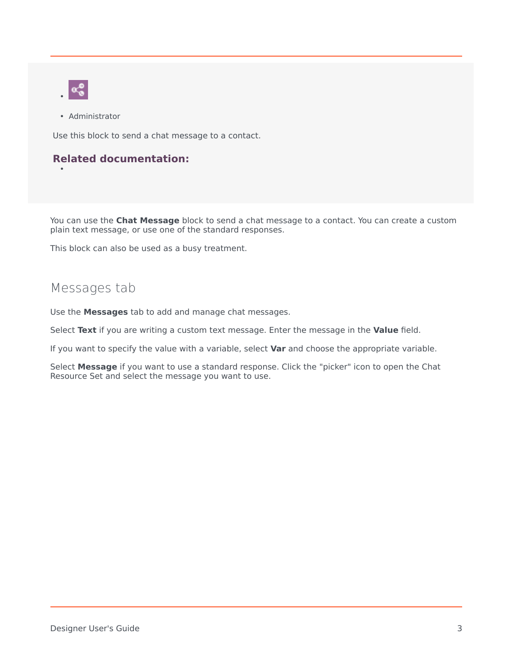

•

• Administrator

Use this block to send a chat message to a contact.

#### **Related documentation:**

You can use the **Chat Message** block to send a chat message to a contact. You can create a custom plain text message, or use one of the standard responses.

This block can also be used as a busy treatment.

### <span id="page-2-0"></span>Messages tab

Use the **Messages** tab to add and manage chat messages.

Select **Text** if you are writing a custom text message. Enter the message in the **Value** field.

If you want to specify the value with a variable, select **Var** and choose the appropriate variable.

Select **Message** if you want to use a standard response. Click the "picker" icon to open the Chat Resource Set and select the message you want to use.